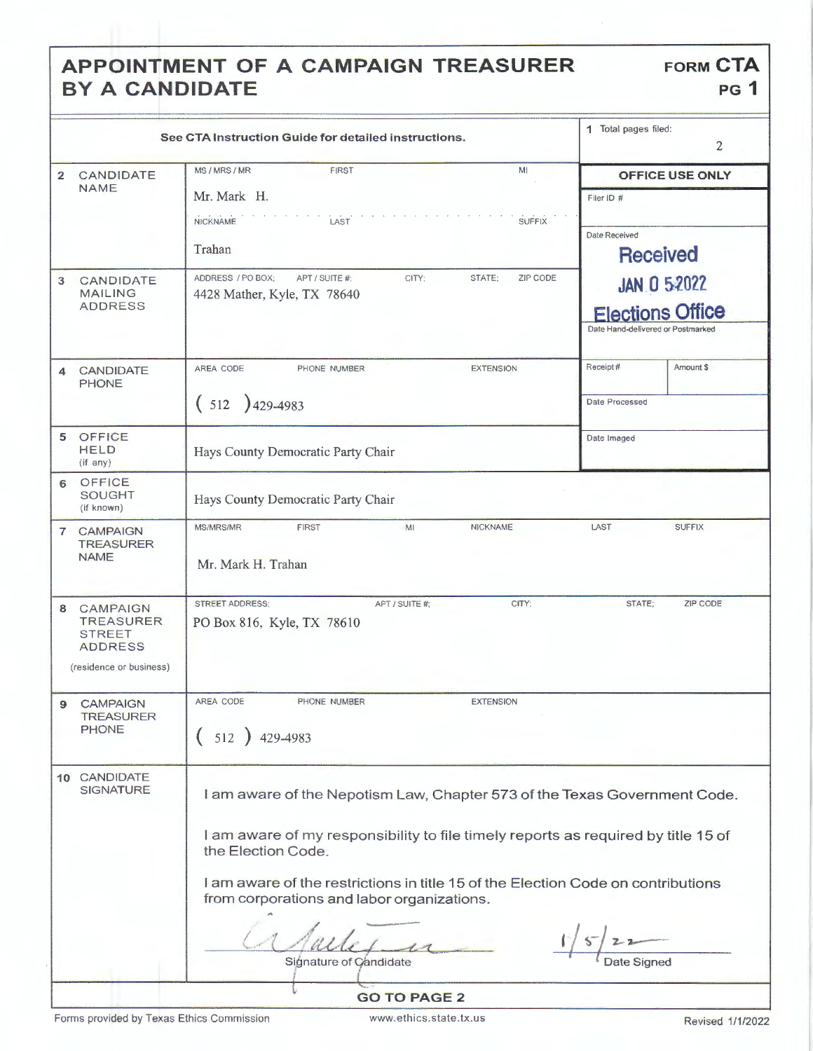## **APPOINTMENT OF A CAMPAIGN TREASURER FORM CTA BY A CANDIDATE** PG **1**

| See CTA Instruction Guide for detailed instructions.     |                                                    |                                                                           |                 | 1 Total pages filed:<br>$\overline{2}$                                           |  |                                                                                                         |
|----------------------------------------------------------|----------------------------------------------------|---------------------------------------------------------------------------|-----------------|----------------------------------------------------------------------------------|--|---------------------------------------------------------------------------------------------------------|
| 2                                                        | CANDIDATE<br><b>NAME</b>                           | MS / MRS / MR<br>MI<br><b>FIRST</b>                                       |                 | <b>OFFICE USE ONLY</b>                                                           |  |                                                                                                         |
|                                                          |                                                    | Mr. Mark H.                                                               | Filer ID #      |                                                                                  |  |                                                                                                         |
|                                                          |                                                    | <b>NICKNAME</b><br><b>SUFFIX</b><br>LAST                                  |                 |                                                                                  |  |                                                                                                         |
|                                                          |                                                    |                                                                           | Date Received   |                                                                                  |  |                                                                                                         |
|                                                          |                                                    | Trahan                                                                    | <b>Received</b> |                                                                                  |  |                                                                                                         |
| 3                                                        | CANDIDATE<br><b>MAILING</b><br><b>ADDRESS</b>      | ADDRESS / PO BOX;<br>CITY:<br>STATE;<br>ZIP CODE<br>APT / SUITE #:        |                 | <b>JAN 0 52022</b>                                                               |  |                                                                                                         |
|                                                          |                                                    | 4428 Mather, Kyle, TX 78640                                               |                 | <b>Elections Office</b>                                                          |  |                                                                                                         |
|                                                          |                                                    |                                                                           |                 | Date Hand-delivered or Postmarked                                                |  |                                                                                                         |
|                                                          |                                                    |                                                                           |                 |                                                                                  |  |                                                                                                         |
| 4                                                        | <b>CANDIDATE</b><br>PHONE                          | AREA CODE<br><b>EXTENSION</b><br>PHONE NUMBER                             | Receipt#        | Amount \$                                                                        |  |                                                                                                         |
|                                                          |                                                    | $(512)$ 429-4983                                                          | Date Processed  |                                                                                  |  |                                                                                                         |
| 5.<br><b>HELD</b><br>(if any)                            | <b>OFFICE</b>                                      | Hays County Democratic Party Chair                                        | Date Imaged     |                                                                                  |  |                                                                                                         |
| 6                                                        | OFFICE<br>SOUGHT<br>(if known)                     | Hays County Democratic Party Chair                                        |                 |                                                                                  |  |                                                                                                         |
| 7                                                        | <b>CAMPAIGN</b><br><b>TREASURER</b><br><b>NAME</b> | MS/MRS/MR<br><b>NICKNAME</b><br><b>FIRST</b><br>MI                        | LAST            | <b>SUFFIX</b>                                                                    |  |                                                                                                         |
|                                                          |                                                    | Mr. Mark H. Trahan                                                        |                 |                                                                                  |  |                                                                                                         |
| 8                                                        | CAMPAIGN                                           | <b>STREET ADDRESS;</b><br>CITY:<br>APT / SUITE #:                         | STATE;          | ZIP CODE                                                                         |  |                                                                                                         |
|                                                          | <b>TREASURER</b><br><b>STREET</b>                  | PO Box 816, Kyle, TX 78610                                                |                 |                                                                                  |  |                                                                                                         |
| <b>ADDRESS</b>                                           |                                                    |                                                                           |                 |                                                                                  |  |                                                                                                         |
| (residence or business)                                  |                                                    |                                                                           |                 |                                                                                  |  |                                                                                                         |
| <b>CAMPAIGN</b><br>9<br><b>TREASURER</b><br><b>PHONE</b> |                                                    | AREA CODE<br>PHONE NUMBER<br><b>EXTENSION</b>                             |                 |                                                                                  |  |                                                                                                         |
|                                                          |                                                    |                                                                           |                 |                                                                                  |  |                                                                                                         |
|                                                          |                                                    | $(512)$ 429-4983                                                          |                 |                                                                                  |  |                                                                                                         |
| 10 CANDIDATE                                             |                                                    |                                                                           |                 |                                                                                  |  |                                                                                                         |
| <b>SIGNATURE</b>                                         |                                                    | I am aware of the Nepotism Law, Chapter 573 of the Texas Government Code. |                 |                                                                                  |  |                                                                                                         |
|                                                          |                                                    |                                                                           |                 |                                                                                  |  | I am aware of my responsibility to file timely reports as required by title 15 of<br>the Election Code. |
|                                                          |                                                    |                                                                           |                 | I am aware of the restrictions in title 15 of the Election Code on contributions |  |                                                                                                         |
|                                                          |                                                    | from corporations and labor organizations.                                |                 |                                                                                  |  |                                                                                                         |
|                                                          |                                                    |                                                                           |                 |                                                                                  |  |                                                                                                         |
|                                                          |                                                    |                                                                           |                 |                                                                                  |  |                                                                                                         |
|                                                          |                                                    | Signature of Candidate                                                    |                 |                                                                                  |  |                                                                                                         |
|                                                          | <b>GO TO PAGE 2</b>                                |                                                                           |                 |                                                                                  |  |                                                                                                         |